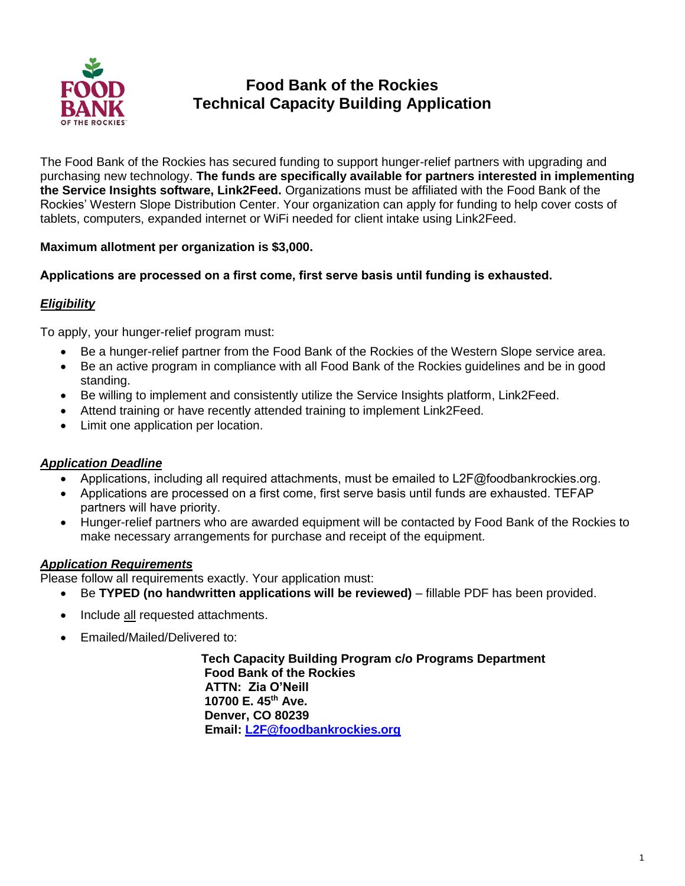

# **Food Bank of the Rockies Technical Capacity Building Application**

The Food Bank of the Rockies has secured funding to support hunger-relief partners with upgrading and purchasing new technology. **The funds are specifically available for partners interested in implementing the Service Insights software, Link2Feed.** Organizations must be affiliated with the Food Bank of the Rockies' Western Slope Distribution Center. Your organization can apply for funding to help cover costs of tablets, computers, expanded internet or WiFi needed for client intake using Link2Feed.

### **Maximum allotment per organization is \$3,000.**

### **Applications are processed on a first come, first serve basis until funding is exhausted.**

### *Eligibility*

To apply, your hunger-relief program must:

- Be a hunger-relief partner from the Food Bank of the Rockies of the Western Slope service area.
- Be an active program in compliance with all Food Bank of the Rockies guidelines and be in good standing.
- Be willing to implement and consistently utilize the Service Insights platform, Link2Feed.
- Attend training or have recently attended training to implement Link2Feed.
- Limit one application per location.

#### *Application Deadline*

- Applications, including all required attachments, must be emailed to L2F@foodbankrockies.org.
- Applications are processed on a first come, first serve basis until funds are exhausted. TEFAP partners will have priority.
- Hunger-relief partners who are awarded equipment will be contacted by Food Bank of the Rockies to make necessary arrangements for purchase and receipt of the equipment.

#### *Application Requirements*

Please follow all requirements exactly. Your application must:

- Be **TYPED (no handwritten applications will be reviewed)** fillable PDF has been provided.
- Include all requested attachments.
- Emailed/Mailed/Delivered to:

**Tech Capacity Building Program c/o Programs Department Food Bank of the Rockies ATTN: Zia O'Neill 10700 E. 45th Ave. Denver, CO 80239 Email: [L2F@foodbankrockies.org](mailto:L2F@foodbankrockies.org)**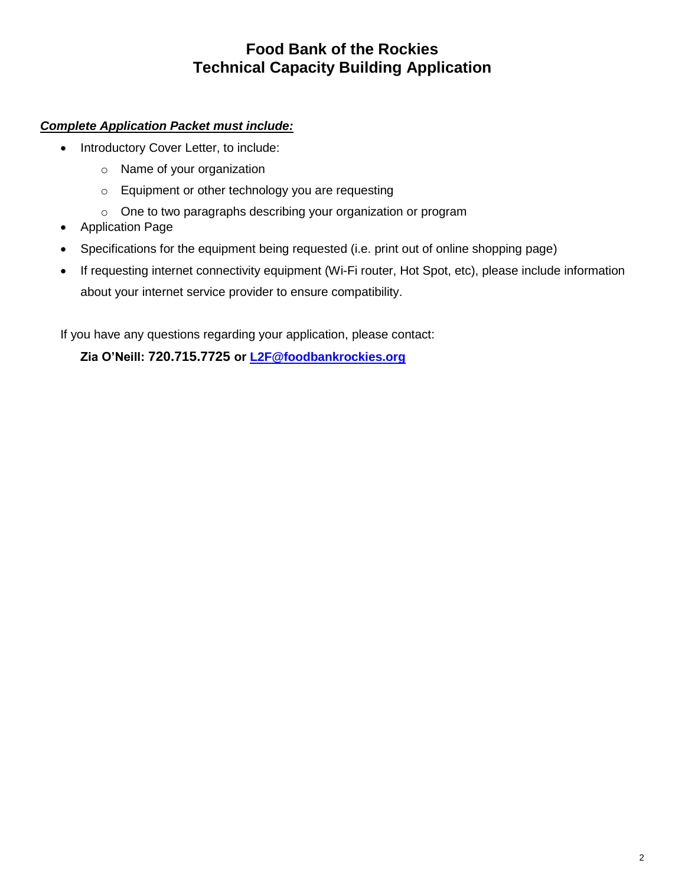## **Food Bank of the Rockies Technical Capacity Building Application**

### *Complete Application Packet must include:*

- Introductory Cover Letter, to include:
	- o Name of your organization
	- o Equipment or other technology you are requesting
	- o One to two paragraphs describing your organization or program
- Application Page
- Specifications for the equipment being requested (i.e. print out of online shopping page)
- If requesting internet connectivity equipment (Wi-Fi router, Hot Spot, etc), please include information about your internet service provider to ensure compatibility.

If you have any questions regarding your application, please contact:

**Zia O'Neill: 720.715.7725 or [L2F@foodbankrockies.org](mailto:L2F@foodbankrockies.org)**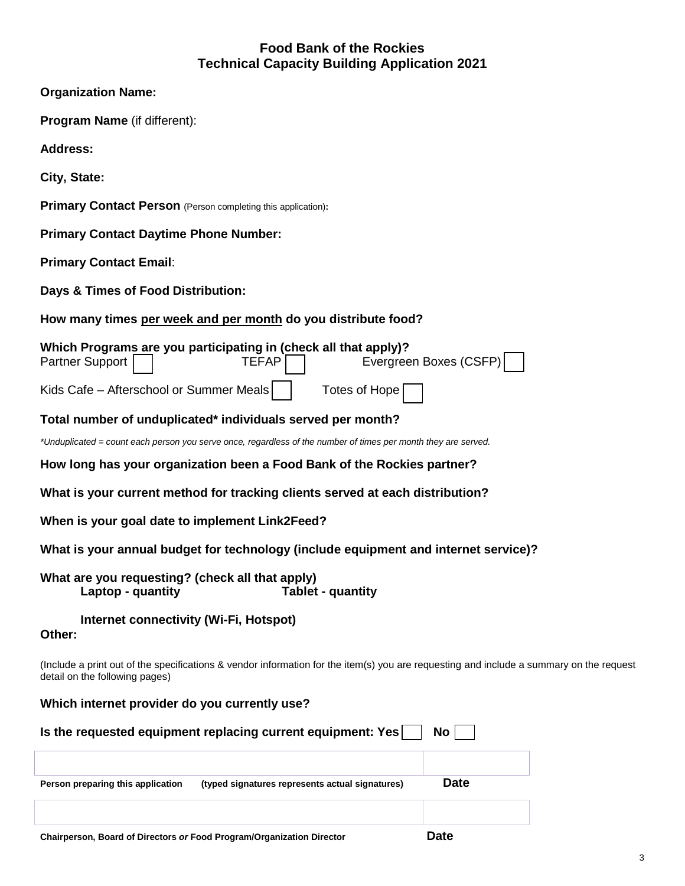## **Food Bank of the Rockies Technical Capacity Building Application 2021**

| <b>Organization Name:</b>                                                                                                                                                 |  |  |  |  |
|---------------------------------------------------------------------------------------------------------------------------------------------------------------------------|--|--|--|--|
| <b>Program Name</b> (if different):                                                                                                                                       |  |  |  |  |
| <b>Address:</b>                                                                                                                                                           |  |  |  |  |
| City, State:                                                                                                                                                              |  |  |  |  |
| <b>Primary Contact Person</b> (Person completing this application):                                                                                                       |  |  |  |  |
| <b>Primary Contact Daytime Phone Number:</b>                                                                                                                              |  |  |  |  |
| <b>Primary Contact Email:</b>                                                                                                                                             |  |  |  |  |
| Days & Times of Food Distribution:                                                                                                                                        |  |  |  |  |
| How many times per week and per month do you distribute food?                                                                                                             |  |  |  |  |
| Which Programs are you participating in (check all that apply)?<br>Evergreen Boxes (CSFP)<br><b>Partner Support</b><br><b>TEFAP</b>                                       |  |  |  |  |
| Kids Cafe - Afterschool or Summer Meals<br>Totes of Hope                                                                                                                  |  |  |  |  |
| Total number of unduplicated* individuals served per month?                                                                                                               |  |  |  |  |
| *Unduplicated = count each person you serve once, regardless of the number of times per month they are served.                                                            |  |  |  |  |
| How long has your organization been a Food Bank of the Rockies partner?                                                                                                   |  |  |  |  |
| What is your current method for tracking clients served at each distribution?                                                                                             |  |  |  |  |
| When is your goal date to implement Link2Feed?                                                                                                                            |  |  |  |  |
| What is your annual budget for technology (include equipment and internet service)?                                                                                       |  |  |  |  |
| What are you requesting? (check all that apply)<br><b>Tablet - quantity</b><br>Laptop - quantity                                                                          |  |  |  |  |
| Internet connectivity (Wi-Fi, Hotspot)<br>Other:                                                                                                                          |  |  |  |  |
| (Include a print out of the specifications & vendor information for the item(s) you are requesting and include a summary on the request<br>detail on the following pages) |  |  |  |  |
| Which internet provider do you currently use?                                                                                                                             |  |  |  |  |
| Is the requested equipment replacing current equipment: Yes<br>No                                                                                                         |  |  |  |  |
|                                                                                                                                                                           |  |  |  |  |
| <b>Date</b><br>Person preparing this application<br>(typed signatures represents actual signatures)                                                                       |  |  |  |  |
|                                                                                                                                                                           |  |  |  |  |
| nata<br>f Diventers or Feed Drearam/Qrasnipation Div                                                                                                                      |  |  |  |  |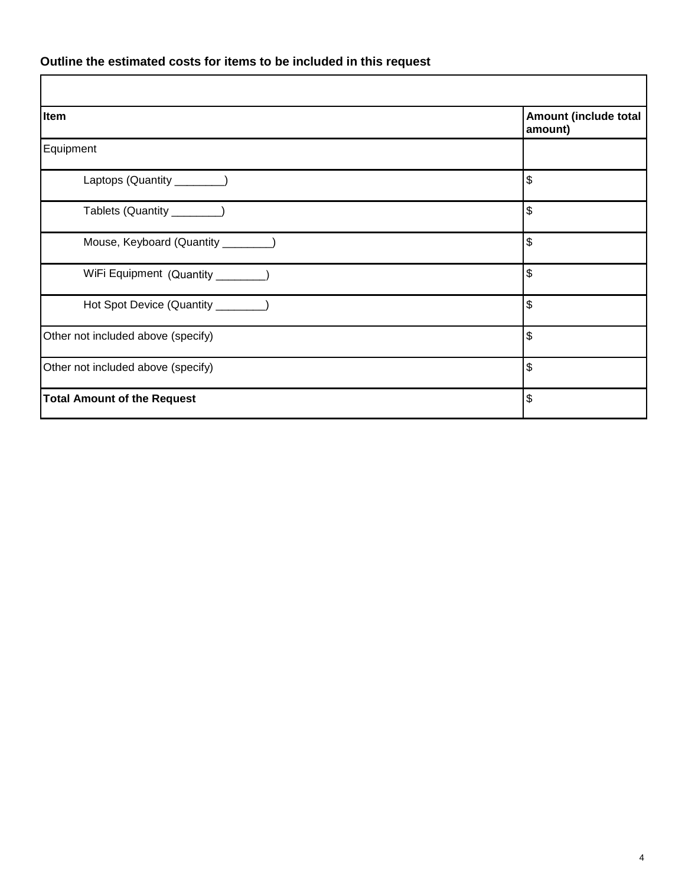### **Outline the estimated costs for items to be included in this request**

| Item                                | Amount (include total<br>amount) |
|-------------------------------------|----------------------------------|
| Equipment                           |                                  |
| Laptops (Quantity _________)        | \$                               |
| Tablets (Quantity _______)          | \$                               |
| Mouse, Keyboard (Quantity ________) | \$                               |
| WiFi Equipment (Quantity ________   | \$                               |
| Hot Spot Device (Quantity ________) | \$                               |
| Other not included above (specify)  | \$                               |
| Other not included above (specify)  | \$                               |
| <b>Total Amount of the Request</b>  | \$                               |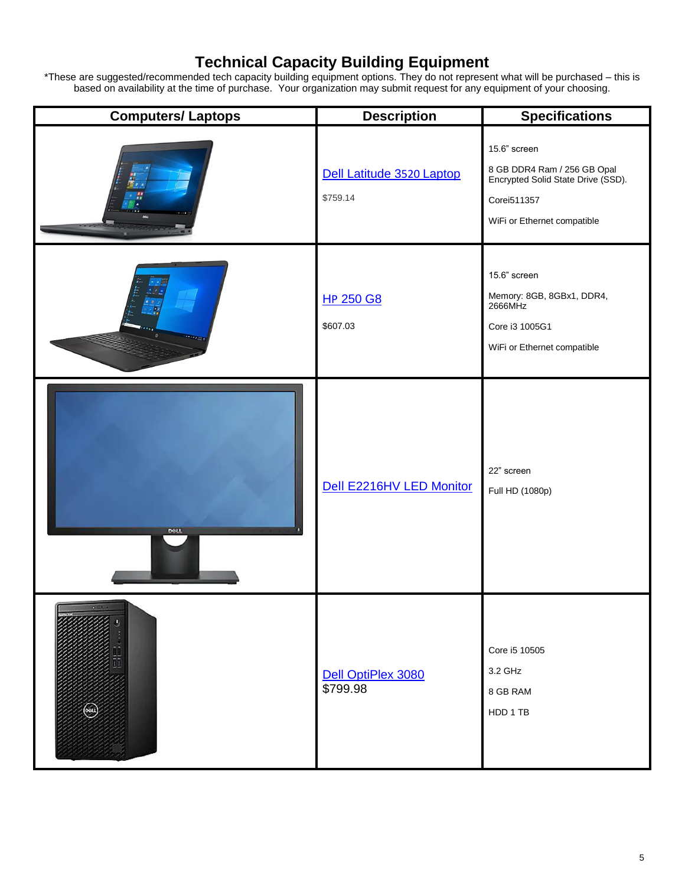## **Technical Capacity Building Equipment**

\*These are suggested/recommended tech capacity building equipment options. They do not represent what will be purchased – this is based on availability at the time of purchase. Your organization may submit request for any equipment of your choosing.

| <b>Computers/Laptops</b> | <b>Description</b>                    | <b>Specifications</b>                                                                                                           |
|--------------------------|---------------------------------------|---------------------------------------------------------------------------------------------------------------------------------|
|                          | Dell Latitude 3520 Laptop<br>\$759.14 | 15.6" screen<br>8 GB DDR4 Ram / 256 GB Opal<br>Encrypted Solid State Drive (SSD).<br>Corei511357<br>WiFi or Ethernet compatible |
|                          | <b>HP 250 G8</b><br>\$607.03          | 15.6" screen<br>Memory: 8GB, 8GBx1, DDR4,<br>2666MHz<br>Core i3 1005G1<br>WiFi or Ethernet compatible                           |
| <b>DOLL</b>              | Dell E2216HV LED Monitor              | 22" screen<br>Full HD (1080p)                                                                                                   |
|                          | Dell OptiPlex 3080<br>\$799.98        | Core i5 10505<br>3.2 GHz<br>8 GB RAM<br>HDD 1 TB                                                                                |